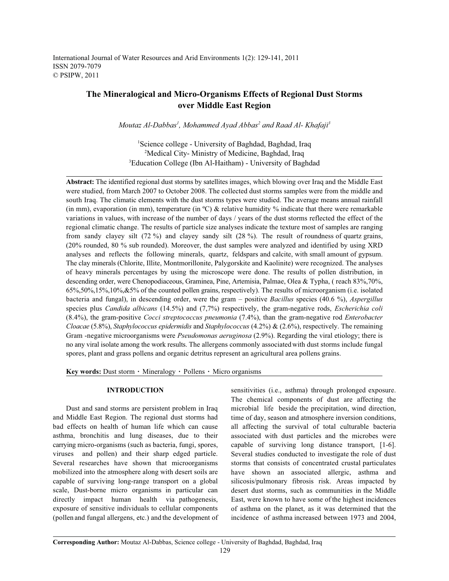International Journal of Water Resources and Arid Environments 1(2): 129-141, 2011 ISSN 2079-7079 © PSIPW, 2011

# **The Mineralogical and Micro-Organisms Effects of Regional Dust Storms over Middle East Region**

*Moutaz Al-Dabbas<sup>1</sup>*, *Mohammed Ayad Abbas<sup>2</sup> and Raad Al- Khafaji<sup>3</sup>* 

<sup>1</sup>Science college - University of Baghdad, Baghdad, Iraq <sup>2</sup>Medical City- Ministry of Medicine, Baghdad, Iraq <sup>3</sup>Education College (Ibn Al-Haitham) - University of Baghdad

**Abstract:** The identified regional dust storms by satellites images, which blowing over Iraq and the Middle East were studied, from March 2007 to October 2008. The collected dust storms samples were from the middle and south Iraq. The climatic elements with the dust storms types were studied. The average means annual rainfall (in mm), evaporation (in mm), temperature (in  $^{\circ}$ C) & relative humidity % indicate that there were remarkable variations in values, with increase of the number of days / years of the dust storms reflected the effect of the regional climatic change. The results of particle size analyses indicate the texture most of samples are ranging from sandy clayey silt (72 %) and clayey sandy silt (28 %). The result of roundness of quartz grains, (20% rounded, 80 % sub rounded). Moreover, the dust samples were analyzed and identified by using XRD analyses and reflects the following minerals, quartz, feldspars and calcite, with small amount of gypsum. The clay minerals (Chlorite, Illite, Montmorillonite, Palygorskite and Kaolinite) were recognized. The analyses of heavy minerals percentages by using the microscope were done. The results of pollen distribution, in descending order, were Chenopodiaceous, Graminea, Pine, Artemisia, Palmae, Olea & Typha, ( reach 83%,70%, 65%,50%,15%,10%,&5% of the counted pollen grains, respectively). The results of microorganism (i.e. isolated bacteria and fungal), in descending order, were the gram – positive *Bacillus* species (40.6 %), *Aspergillus* species plus *Candida albicans* (14.5%) and (7,7%) respectively, the gram-negative rods, *Escherichia coli* (8.4%), the gram-positive *Cocci streptococcus pneumonia* (7.4%), than the gram-negative rod *Enterobacter Cloacae* (5.8%), *Staphylococcus epidermidis* and *Staphylococcus* (4.2%) & (2.6%), respectively. The remaining Gram -negative microorganisms were *Pseudomonas aeruginosa* (2.9%). Regarding the viral etiology; there is no any viral isolate among the work results. The allergens commonly associated with dust storms include fungal spores, plant and grass pollens and organic detritus represent an agricultural area pollens grains.

Key words: Dust storm · Mineralogy · Pollens · Micro organisms

Dust and sand storms are persistent problem in Iraq and Middle East Region. The regional dust storms had bad effects on health of human life which can cause asthma, bronchitis and lung diseases, due to their carrying micro-organisms (such as bacteria, fungi, spores, viruses and pollen) and their sharp edged particle. Several researches have shown that microorganisms mobilized into the atmosphere along with desert soils are capable of surviving long-range transport on a global scale, Dust-borne micro organisms in particular can directly impact human health via pathogenesis, exposure of sensitive individuals to cellular components (pollen and fungal allergens, etc.) and the development of

**INTRODUCTION** sensitivities (i.e., asthma) through prolonged exposure. The chemical components of dust are affecting the microbial life beside the precipitation, wind direction, time of day, season and atmosphere inversion conditions, all affecting the survival of total culturable bacteria associated with dust particles and the microbes were capable of surviving long distance transport, [1-6]. Several studies conducted to investigate the role of dust storms that consists of concentrated crustal particulates have shown an associated allergic, asthma and silicosis/pulmonary fibrosis risk. Areas impacted by desert dust storms, such as communities in the Middle East, were known to have some of the highest incidences of asthma on the planet, as it was determined that the incidence of asthma increased between 1973 and 2004,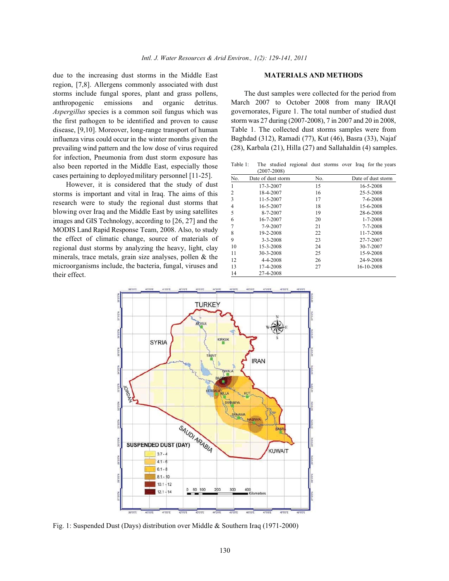due to the increasing dust storms in the Middle East **MATERIALS AND METHODS** region, [7,8]. Allergens commonly associated with dust storms include fungal spores, plant and grass pollens, anthropogenic emissions and organic detritus. *Aspergillus* species is a common soil fungus which was the first pathogen to be identified and proven to cause disease, [9,10]. Moreover, long-range transport of human influenza virus could occur in the winter months given the prevailing wind pattern and the low dose of virus required for infection, Pneumonia from dust storm exposure has also been reported in the Middle East, especially those cases pertaining to deployed military personnel [11-25].

However, it is considered that the study of dust storms is important and vital in Iraq. The aims of this research were to study the regional dust storms that blowing over Iraq and the Middle East by using satellites images and GIS Technology, according to [26, 27] and the MODIS Land Rapid Response Team, 2008. Also, to study the effect of climatic change, source of materials of regional dust storms by analyzing the heavy, light, clay minerals, trace metals, grain size analyses, pollen & the microorganisms include, the bacteria, fungal, viruses and their effect.

The dust samples were collected for the period from March 2007 to October 2008 from many IRAQI governorates, Figure 1. The total number of studied dust storm was 27 during (2007-2008), 7 in 2007 and 20 in 2008, Table 1. The collected dust storms samples were from Baghdad (312), Ramadi (77), Kut (46), Basra (33), Najaf (28), Karbala (21), Hilla (27) and Sallahaldin (4) samples.

Table 1: The studied regional dust storms over Iraq for the years (2007-2008)

| No.            | Date of dust storm | No. | Date of dust storm |
|----------------|--------------------|-----|--------------------|
| 1              | $17 - 3 - 2007$    | 15  | 16-5-2008          |
| $\overline{2}$ | 18-4-2007          | 16  | 25-5-2008          |
| 3              | $11 - 5 - 2007$    | 17  | 7-6-2008           |
| 4              | 16-5-2007          | 18  | 15-6-2008          |
| 5              | 8-7-2007           | 19  | 28-6-2008          |
| 6              | 16-7-2007          | 20  | $1 - 7 - 2008$     |
| 7              | 7-9-2007           | 21  | 7-7-2008           |
| 8              | 19-2-2008          | 22  | 11-7-2008          |
| 9              | $3 - 3 - 2008$     | 23  | 27-7-2007          |
| 10             | 15-3-2008          | 24  | 30-7-2007          |
| 11             | 30-3-2008          | 25  | 15-9-2008          |
| 12             | 4-4-2008           | 26  | 24-9-2008          |
| 13             | 17-4-2008          | 27  | 16-10-2008         |
| 14             | 27-4-2008          |     |                    |



Fig. 1: Suspended Dust (Days) distribution over Middle & Southern Iraq (1971-2000)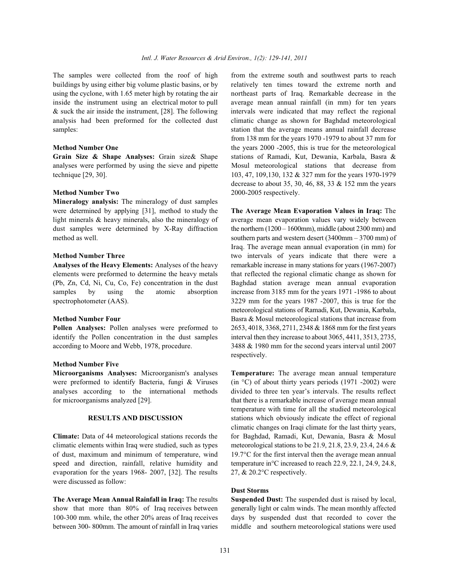buildings by using either big volume plastic basins, or by relatively ten times toward the extreme north and using the cyclone, with 1.65 meter high by rotating the air northeast parts of Iraq. Remarkable decrease in the inside the instrument using an electrical motor to pull average mean annual rainfall (in mm) for ten years & suck the air inside the instrument, [28]. The following intervals were indicated that may reflect the regional analysis had been preformed for the collected dust climatic change as shown for Baghdad meteorological samples:<br>station that the average means annual rainfall decrease

analyses were performed by using the sieve and pipette Mosul meteorological stations that decrease from technique [29, 30]. 103, 47, 109, 130, 132 & 327 mm for the years 1970-1979

**Mineralogy analysis:** The mineralogy of dust samples were determined by applying [31], method to study the **The Average Mean Evaporation Values in Iraq:** The light minerals & heavy minerals, also the mineralogy of average mean evaporation values vary widely between dust samples were determined by X-Ray diffraction the northern  $(1200 - 1600$ mm), middle (about 2300 mm) and method as well. southern parts and western desert (3400mm – 3700 mm) of

elements were preformed to determine the heavy metals that reflected the regional climatic change as shown for (Pb, Zn, Cd, Ni, Cu, Co, Fe) concentration in the dust Baghdad station average mean annual evaporation samples by using the atomic absorption increase from 3185 mm for the years 1971 -1986 to about spectrophotometer (AAS). 3229 mm for the years 1987 -2007, this is true for the

identify the Pollen concentration in the dust samples interval then they increase to about 3065, 4411, 3513, 2735, according to Moore and Webb, 1978, procedure. 3488 & 1980 mm for the second years interval until 2007

## **Method Number Five**

**Microorganisms Analyses:** Microorganism's analyses **Temperature:** The average mean annual temperature were preformed to identify Bacteria, fungi & Viruses (in °C) of about thirty years periods (1971 -2002) were analyses according to the international methods divided to three ten year's intervals. The results reflect

climatic elements within Iraq were studied, such as types meteorological stations to be 21.9, 21.8, 23.9, 23.4, 24.6  $\&$ of dust, maximum and minimum of temperature, wind 19.7°C for the first interval then the average mean annual speed and direction, rainfall, relative humidity and temperature in°C increased to reach 22.9, 22.1, 24.9, 24.8, evaporation for the years 1968- 2007, [32]. The results  $27, \& 20.2^{\circ}$ C respectively. were discussed as follow:

**The Average Mean Annual Rainfall in Iraq:** The results **Suspended Dust:** The suspended dust is raised by local, show that more than 80% of Iraq receives between generally light or calm winds. The mean monthly affected 100-300 mm. while, the other 20% areas of Iraq receives days by suspended dust that recorded to cover the between 300- 800mm. The amount of rainfall in Iraq varies middle and southern meteorological stations were used

The samples were collected from the roof of high from the extreme south and southwest parts to reach **Method Number One** the years 2000 -2005, this is true for the meteorological **Grain Size & Shape Analyses:** Grain size& Shape stations of Ramadi, Kut, Dewania, Karbala, Basra & **Method Number Two** 2000-2005 respectively. from 138 mm for the years 1970 -1979 to about 37 mm for decrease to about 35, 30, 46, 88, 33 & 152 mm the years

**Method Number Three** two intervals of years indicate that there were a **Analyses of the Heavy Elements:** Analyses of the heavy remarkable increase in many stations for years (1967-2007) **Method Number Four** Basra & Mosul meteorological stations that increase from **Pollen Analyses:** Pollen analyses were preformed to 2653, 4018, 3368, 2711, 2348 & 1868 mm for the first years Iraq. The average mean annual evaporation (in mm) for meteorological stations of Ramadi, Kut, Dewania, Karbala, respectively.

for microorganisms analyzed [29]. that there is a remarkable increase of average mean annual **RESULTS AND DISCUSSION** stations which obviously indicate the effect of regional **Climate:** Data of 44 meteorological stations records the for Baghdad, Ramadi, Kut, Dewania, Basra & Mosul temperature with time for all the studied meteorological climatic changes on Iraqi climate for the last thirty years,

## **Dust Storms**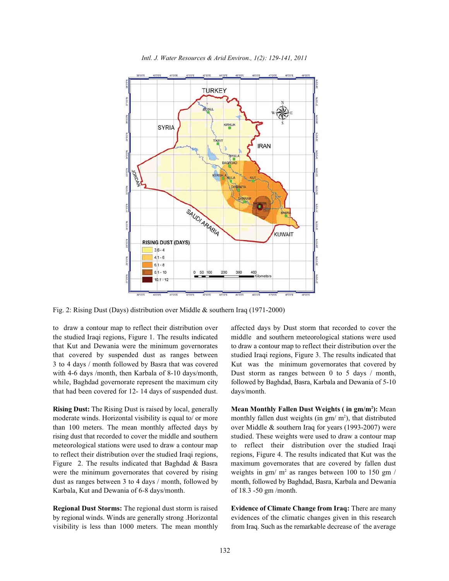

*Intl. J. Water Resources & Arid Environ., 1(2): 129-141, 2011*

Fig. 2: Rising Dust (Days) distribution over Middle & southern Iraq (1971-2000)

the studied Iraqi regions, Figure 1. The results indicated middle and southern meteorological stations were used that Kut and Dewania were the minimum governorates to draw a contour map to reflect their distribution over the that covered by suspended dust as ranges between studied Iraqi regions, Figure 3. The results indicated that 3 to 4 days / month followed by Basra that was covered Kut was the minimum governorates that covered by with 4-6 days /month, then Karbala of 8-10 days/month, Dust storm as ranges between 0 to 5 days / month, while, Baghdad governorate represent the maximum city followed by Baghdad, Basra, Karbala and Dewania of 5-10 that had been covered for 12- 14 days of suspended dust. days/month.

than 100 meters. The mean monthly affected days by over Middle & southern Iraq for years (1993-2007) were rising dust that recorded to cover the middle and southern studied. These weights were used to draw a contour map meteorological stations were used to draw a contour map to reflect their distribution over the studied Iraqi to reflect their distribution over the studied Iraqi regions, regions, Figure 4. The results indicated that Kut was the Figure 2. The results indicated that Baghdad & Basra maximum governorates that are covered by fallen dust dust as ranges between 3 to 4 days / month, followed by month, followed by Baghdad, Basra, Karbala and Dewania Karbala, Kut and Dewania of 6-8 days/month. of 18.3 -50 gm /month.

**Regional Dust Storms:** The regional dust storm is raised **Evidence of Climate Change from Iraq:** There are many by regional winds. Winds are generally strong .Horizontal evidences of the climatic changes given in this research visibility is less than 1000 meters. The mean monthly from Iraq. Such as the remarkable decrease of the average

to draw a contour map to reflect their distribution over affected days by Dust storm that recorded to cover the

Rising Dust: The Rising Dust is raised by local, generally Mean Monthly Fallen Dust Weights (in gm/m<sup>2</sup>): Mean moderate winds. Horizontal visibility is equal to/ or more monthly fallen dust weights (in gm/  $m^2$ ), that distributed were the minimum governorates that covered by rising weights in gm/ $m^2$  as ranges between 100 to 150 gm/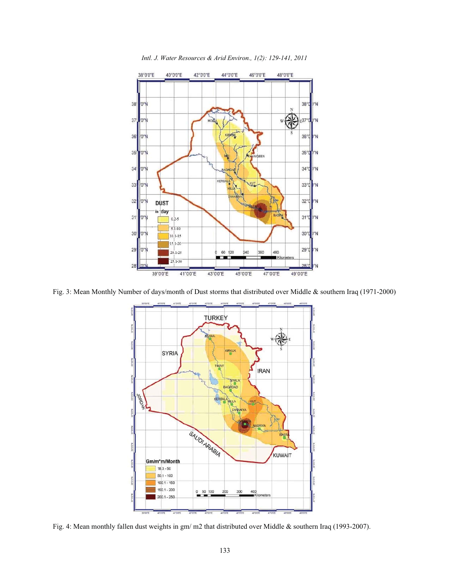

*Intl. J. Water Resources & Arid Environ., 1(2): 129-141, 2011*

Fig. 3: Mean Monthly Number of days/month of Dust storms that distributed over Middle & southern Iraq (1971-2000)



Fig. 4: Mean monthly fallen dust weights in gm/ m2 that distributed over Middle & southern Iraq (1993-2007).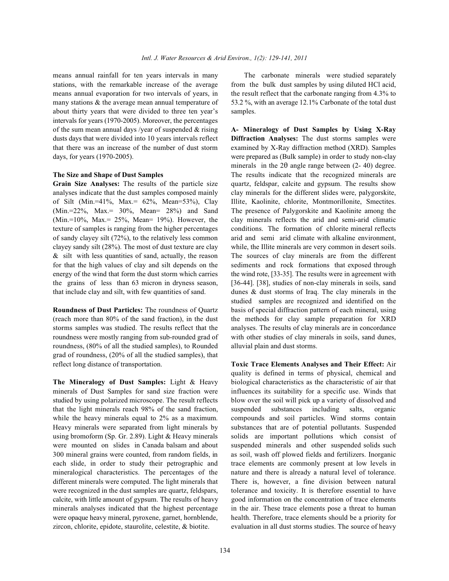means annual rainfall for ten years intervals in many The carbonate minerals were studied separately stations, with the remarkable increase of the average from the bulk dust samples by using diluted HCl acid, means annual evaporation for two intervals of years, in the result reflect that the carbonate ranging from 4.3% to many stations & the average mean annual temperature of 53.2 %, with an average 12.1% Carbonate of the total dust about thirty years that were divided to three ten year's samples. intervals for years (1970-2005). Moreover, the percentages of the sum mean annual days /year of suspended & rising **A- Mineralogy of Dust Samples by Using X-Ray** dusts days that were divided into 10 years intervals reflect **Diffraction Analyses:** The dust storms samples were that there was an increase of the number of dust storm examined by X-Ray diffraction method (XRD). Samples days, for years (1970-2005). were prepared as (Bulk sample) in order to study non-clay

analyses indicate that the dust samples composed mainly clay minerals for the different slides were, palygorskite, of Silt (Min.=41%, Max.= 62%, Mean=53%), Clay Illite, Kaolinite, chlorite, Montmorillonite, Smectites. (Min.=22%, Max.= 30%, Mean= 28%) and Sand The presence of Palygorskite and Kaolinite among the (Min.=10%, Max.= 25%, Mean= 19%). However, the clay minerals reflects the arid and semi-arid climatic texture of samples is ranging from the higher percentages conditions. The formation of chlorite mineral reflects of sandy clayey silt (72%), to the relatively less common arid and semi arid climate with alkaline environment, clayey sandy silt (28%). The most of dust texture are clay while, the Illite minerals are very common in desert soils. & silt with less quantities of sand, actually, the reason The sources of clay minerals are from the different for that the high values of clay and silt depends on the sediments and rock formations that exposed through energy of the wind that form the dust storm which carries the wind rote, [33-35]. The results were in agreement with the grains of less than 63 micron in dryness season, [36-44]. [38], studies of non-clay minerals in soils, sand that include clay and silt, with few quantities of sand. dunes & dust storms of Iraq. The clay minerals in the

(reach more than 80% of the sand fraction), in the dust the methods for clay sample preparation for XRD storms samples was studied. The results reflect that the analyses. The results of clay minerals are in concordance roundness were mostly ranging from sub-rounded grad of with other studies of clay minerals in soils, sand dunes, roundness, (80% of all the studied samples), to Rounded alluvial plain and dust storms. grad of roundness, (20% of all the studied samples), that reflect long distance of transportation. **Toxic Trace Elements Analyses and Their Effect:** Air

minerals of Dust Samples for sand size fraction were influences its suitability for a specific use. Winds that studied by using polarized microscope. The result reflects blow over the soil will pick up a variety of dissolved and that the light minerals reach 98% of the sand fraction, suspended substances including salts, organic while the heavy minerals equal to 2% as a maximum. compounds and soil particles. Wind storms contain Heavy minerals were separated from light minerals by substances that are of potential pollutants. Suspended using bromoform (Sp. Gr. 2.89). Light & Heavy minerals solids are important pollutions which consist of were mounted on slides in Canada balsam and about suspended minerals and other suspended solids such 300 mineral grains were counted, from random fields, in as soil, wash off plowed fields and fertilizers. Inorganic each slide, in order to study their petrographic and trace elements are commonly present at low levels in mineralogical characteristics. The percentages of the nature and there is already a natural level of tolerance. different minerals were computed. The light minerals that There is, however, a fine division between natural were recognized in the dust samples are quartz, feldspars, tolerance and toxicity. It is therefore essential to have calcite, with little amount of gypsum. The results of heavy good information on the concentration of trace elements minerals analyses indicated that the highest percentage in the air. These trace elements pose a threat to human were opaque heavy mineral, pyroxene, garnet, hornblende, health. Therefore, trace elements should be a priority for zircon, chlorite, epidote, staurolite, celestite,  $\&$  biotite. evaluation in all dust storms studies. The source of heavy

**The Size and Shape of Dust Samples** The results indicate that the recognized minerals are **Grain Size Analyses:** The results of the particle size quartz, feldspar, calcite and gypsum. The results show **Roundness of Dust Particles:** The roundness of Quartz basis of special diffraction pattern of each mineral, using minerals in the  $2\theta$  angle range between (2-40) degree. studied samples are recognized and identified on the

**The Mineralogy of Dust Samples:** Light & Heavy biological characteristics as the characteristic of air that quality is defined in terms of physical, chemical and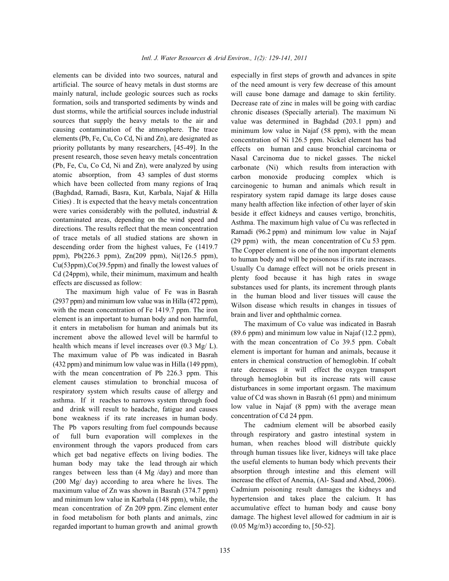artificial. The source of heavy metals in dust storms are mainly natural, include geologic sources such as rocks formation, soils and transported sediments by winds and dust storms, while the artificial sources include industrial sources that supply the heavy metals to the air and causing contamination of the atmosphere. The trace elements (Pb, Fe, Cu, Co Cd, Ni and Zn), are designated as priority pollutants by many researchers, [45-49]. In the present research, those seven heavy metals concentration (Pb, Fe, Cu, Co Cd, Ni and Zn), were analyzed by using atomic absorption, from 43 samples of dust storms which have been collected from many regions of Iraq (Baghdad, Ramadi, Basra, Kut, Karbala, Najaf & Hilla Cities) . It is expected that the heavy metals concentration were varies considerably with the polluted, industrial & contaminated areas, depending on the wind speed and directions. The results reflect that the mean concentration of trace metals of all studied stations are shown in descending order from the highest values, Fe (1419.7 ppm), Pb(226.3 ppm), Zn(209 ppm), Ni(126.5 ppm), Cu(53ppm),Co(39.5ppm) and finally the lowest values of Cd (24ppm), while, their minimum, maximum and health effects are discussed as follow:

The maximum high value of Fe was in Basrah (2937 ppm) and minimum low value was in Hilla (472 ppm), with the mean concentration of Fe 1419.7 ppm. The iron element is an important to human body and non harmful, it enters in metabolism for human and animals but its increment above the allowed level will be harmful to health which means if level increases over (0.3 Mg/ L). The maximum value of Pb was indicated in Basrah (432 ppm) and minimum low value was in Hilla (149 ppm), with the mean concentration of Pb 226.3 ppm. This element causes stimulation to bronchial mucosa of respiratory system which results cause of allergy and asthma. If it reaches to narrows system through food and drink will result to headache, fatigue and causes bone weakness if its rate increases in human body. The Pb vapors resulting from fuel compounds because of full burn evaporation will complexes in the environment through the vapors produced from cars which get bad negative effects on living bodies. The human body may take the lead through air which ranges between less than (4 Mg /day) and more than (200 Mg/ day) according to area where he lives. The maximum value of Zn was shown in Basrah (374.7 ppm) and minimum low value in Karbala (148 ppm), while, the mean concentration of Zn 209 ppm. Zinc element enter in food metabolism for both plants and animals, zinc regarded important to human growth and animal growth

elements can be divided into two sources, natural and especially in first steps of growth and advances in spite of the need amount is very few decrease of this amount will cause bone damage and damage to skin fertility. Decrease rate of zinc in males will be going with cardiac chronic diseases (Specially arterial). The maximum Ni value was determined in Baghdad (203.1 ppm) and minimum low value in Najaf (58 ppm), with the mean concentration of Ni 126.5 ppm. Nickel element has bad effects on human and cause bronchial carcinoma or Nasal Carcinoma due to nickel gasses. The nickel carbonate (Ni) which results from interaction with carbon monoxide producing complex which is carcinogenic to human and animals which result in respiratory system rapid damage its large doses cause many health affection like infection of other layer of skin beside it effect kidneys and causes vertigo, bronchitis, Asthma. The maximum high value of Cu was reflected in Ramadi (96.2 ppm) and minimum low value in Najaf (29 ppm) with, the mean concentration of Cu 53 ppm. The Copper element is one of the non important elements to human body and will be poisonous if its rate increases. Usually Cu damage effect will not be oriels present in plenty food because it has high rates in swage substances used for plants, its increment through plants in the human blood and liver tissues will cause the Wilson disease which results in changes in tissues of brain and liver and ophthalmic cornea.

> The maximum of Co value was indicated in Basrah (89.6 ppm) and minimum low value in Najaf (12.2 ppm), with the mean concentration of Co 39.5 ppm. Cobalt element is important for human and animals, because it enters in chemical construction of hemoglobin. If cobalt rate decreases it will effect the oxygen transport through hemoglobin but its increase rats will cause disturbances in some important orgasm. The maximum value of Cd was shown in Basrah (61 ppm) and minimum low value in Najaf (8 ppm) with the average mean concentration of Cd 24 ppm.

> The cadmium element will be absorbed easily through respiratory and gastro intestinal system in human, when reaches blood will distribute quickly through human tissues like liver, kidneys will take place the useful elements to human body which prevents their absorption through intestine and this element will increase the effect of Anemia, (Al- Saad and Abed, 2006). Cadmium poisoning result damages the kidneys and hypertension and takes place the calcium. It has accumulative effect to human body and cause bony damage. The highest level allowed for cadmium in air is (0.05 Mg/m3) according to, [50-52].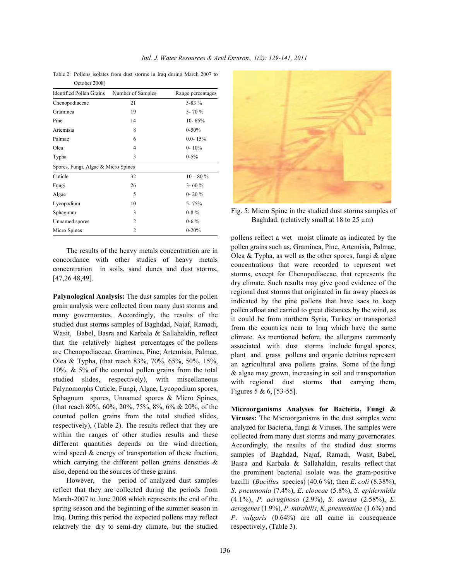Table 2: Pollens isolates from dust storms in Iraq during March 2007 to October 2008)

| <b>Identified Pollen Grains</b>     | Number of Samples | Range percentages |  |  |  |  |
|-------------------------------------|-------------------|-------------------|--|--|--|--|
| Chenopodiaceae                      | 21                | $3 - 83\%$        |  |  |  |  |
| Graminea                            | 19                | 5-70 %            |  |  |  |  |
| Pine                                | 14                | $10 - 65%$        |  |  |  |  |
| Artemisia                           | 8                 | $0 - 50%$         |  |  |  |  |
| Palmae                              | 6                 | $0.0 - 15\%$      |  |  |  |  |
| Olea                                | 4                 | $0 - 10\%$        |  |  |  |  |
| Typha                               | 3                 | $0 - 5\%$         |  |  |  |  |
| Spores, Fungi, Algae & Micro Spines |                   |                   |  |  |  |  |
| Cuticle                             | 32                | $10 - 80 \%$      |  |  |  |  |
| Fungi                               | 26                | $3 - 60%$         |  |  |  |  |
| Algae                               | 5                 | $0 - 20%$         |  |  |  |  |
| Lycopodium                          | 10                | $5 - 75%$         |  |  |  |  |
| Sphagnum                            | 3                 | $0 - 8 \%$        |  |  |  |  |
| Unnamed spores                      | $\overline{c}$    | $0 - 6\%$         |  |  |  |  |
| Micro Spines                        | $\overline{c}$    | $0 - 20%$         |  |  |  |  |

The results of the heavy metals concentration are in concordance with other studies of heavy metals concentration in soils, sand dunes and dust storms, [47,26 48,49].

**Palynological Analysis:** The dust samples for the pollen grain analysis were collected from many dust storms and many governorates. Accordingly, the results of the studied dust storms samples of Baghdad, Najaf, Ramadi, Wasit, Babel, Basra and Karbala & Sallahaldin, reflect that the relatively highest percentages of the pollens are Chenopodiaceae, Graminea, Pine, Artemisia, Palmae, Olea & Typha, (that reach 83%, 70%, 65%, 50%, 15%, 10%, & 5% of the counted pollen grains from the total studied slides, respectively), with miscellaneous Palynomorphs Cuticle, Fungi, Algae, Lycopodium spores, Sphagnum spores, Unnamed spores & Micro Spines, (that reach 80%, 60%, 20%, 75%, 8%, 6% & 20%, of the counted pollen grains from the total studied slides, respectively), (Table 2). The results reflect that they are within the ranges of other studies results and these different quantities depends on the wind direction, wind speed & energy of transportation of these fraction, which carrying the different pollen grains densities  $\&$ also, depend on the sources of these grains.

However, the period of analyzed dust samples reflect that they are collected during the periods from March-2007 to June 2008 which represents the end of the spring season and the beginning of the summer season in Iraq. During this period the expected pollens may reflect relatively the dry to semi-dry climate, but the studied



Fig. 5: Micro Spine in the studied dust storms samples of Baghdad, (relatively small at 18 to 25  $\mu$ m)

pollens reflect a wet –moist climate as indicated by the pollen grains such as, Graminea, Pine, Artemisia, Palmae, Olea & Typha, as well as the other spores, fungi & algae concentrations that were recorded to represent wet storms, except for Chenopodiaceae, that represents the dry climate. Such results may give good evidence of the regional dust storms that originated in far away places as indicated by the pine pollens that have sacs to keep pollen afloat and carried to great distances by the wind, as it could be from northern Syria, Turkey or transported from the countries near to Iraq which have the same climate. As mentioned before, the allergens commonly associated with dust storms include fungal spores, plant and grass pollens and organic detritus represent an agricultural area pollens grains. Some of the fungi & algae may grown, increasing in soil and transportation with regional dust storms that carrying them, Figures 5 & 6, [53-55].

**Microorganisms Analyses for Bacteria, Fungi & Viruses:** The Microorganisms in the dust samples were analyzed for Bacteria, fungi & Viruses. The samples were collected from many dust storms and many governorates. Accordingly, the results of the studied dust storms samples of Baghdad, Najaf, Ramadi, Wasit, Babel, Basra and Karbala & Sallahaldin, results reflect that the prominent bacterial isolate was the gram-positive bacilli (*Bacillus* species) (40.6 %), then *E*. *coli* (8.38%), *S*. *pneumonia* (7.4%), *E*. *cloacae* (5.8%), *S*. *epidermidis* (4.1%), *P. aeruginosa* (2.9%), *S*. *aureus* (2.58%), *E*. *aerogenes* (1.9%), *P*. *mirabilis*, *K*. *pneumoniae* (1.6%) and *P*. *vulgaris* (0.64%) are all came in consequence respectively, (Table 3).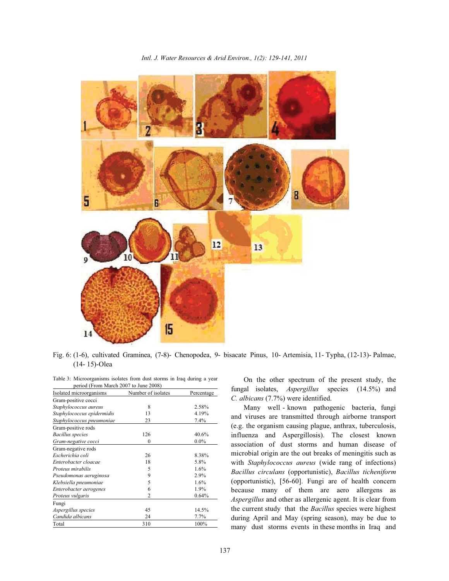*Intl. J. Water Resources & Arid Environ., 1(2): 129-141, 2011*



Fig. 6: (1-6), cultivated Graminea, (7-8)- Chenopodea, 9- bisacate Pinus, 10- Artemisia, 11- Typha, (12-13)- Palmae, (14- 15)-Olea

Table 3: Microorganisms isolates from dust storms in Iraq during a year period (From March 2007 to June 2008)

| Isolated microorganisms    | Number of isolates | Percentage |
|----------------------------|--------------------|------------|
| Gram-positive cocci        |                    |            |
| Staphylococcus aureus      | 8                  | 2.58%      |
| Staphylococcus epidermidis | 13                 | 4.19%      |
| Staphylococcus pneumoniae  | 23                 | 7.4%       |
| Gram-positive rods         |                    |            |
| <b>Bacillus</b> species    | 126                | 40.6%      |
| Gram-negative cocci        | $\mathbf{0}$       | $0.0\%$    |
| Gram-negative rods         |                    |            |
| Escherichia coli           | 26                 | 8.38%      |
| Enterobacter cloacae       | 18                 | 5.8%       |
| Proteus mirabilis          | 5                  | $1.6\%$    |
| Pseudomonas aeruginosa     | 9                  | 2.9%       |
| Klebsiella pneumoniae      | 5                  | $1.6\%$    |
| Enterobacter aerogenes     | 6                  | 1.9%       |
| Proteus vulgaris           | $\overline{c}$     | 0.64%      |
| Fungi                      |                    |            |
| Aspergillus species        | 45                 | 14.5%      |
| Candida albicans           | 24                 | 7.7%       |
| Total                      | 310                | 100%       |

On the other spectrum of the present study, the fungal isolates, *Aspergillus* species (14.5%) and *C. albicans* (7.7%) were identified.

Many well - known pathogenic bacteria, fungi and viruses are transmitted through airborne transport (e.g. the organism causing plague, anthrax, tuberculosis, influenza and Aspergillosis). The closest known association of dust storms and human disease of microbial origin are the out breaks of meningitis such as with *Staphylococcus aureus* (wide rang of infections) *Bacillus circulans* (opportunistic), *Bacillus ticheniform* (opportunistic), [56-60]. Fungi are of health concern because many of them are aero allergens as *Aspergillus* and other as allergenic agent. It is clear from the current study that the *Bacillus* species were highest during April and May (spring season), may be due to many dust storms events in these months in Iraq and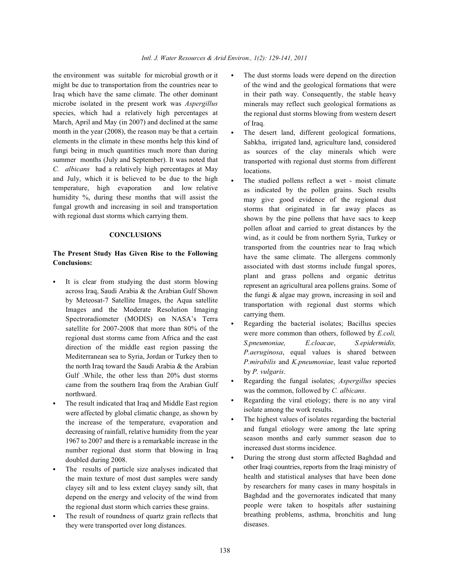the environment was suitable for microbial growth or it  $\bullet$  The dust storms loads were depend on the direction might be due to transportation from the countries near to Iraq which have the same climate. The other dominant microbe isolated in the present work was *Aspergillus* species, which had a relatively high percentages at March, April and May (in 2007) and declined at the same month in the year (2008), the reason may be that a certain elements in the climate in these months help this kind of fungi being in much quantities much more than during summer months (July and September). It was noted that *C. albicans* had a relatively high percentages at May and July, which it is believed to be due to the high temperature, high evaporation and low relative humidity %, during these months that will assist the fungal growth and increasing in soil and transportation with regional dust storms which carrying them.

## **CONCLUSIONS**

# **The Present Study Has Given Rise to the Following Conclusions:**

- It is clear from studying the dust storm blowing across Iraq, Saudi Arabia & the Arabian Gulf Shown by Meteosat-7 Satellite Images, the Aqua satellite Images and the Moderate Resolution Imaging Spectroradiometer (MODIS) on NASA's Terra satellite for 2007-2008 that more than 80% of the regional dust storms came from Africa and the east direction of the middle east region passing the Mediterranean sea to Syria, Jordan or Turkey then to the north Iraq toward the Saudi Arabia & the Arabian Gulf .While, the other less than 20% dust storms came from the southern Iraq from the Arabian Gulf northward.
- The result indicated that Iraq and Middle East region were affected by global climatic change, as shown by the increase of the temperature, evaporation and decreasing of rainfall, relative humidity from the year 1967 to 2007 and there is a remarkable increase in the number regional dust storm that blowing in Iraq doubled during 2008.
- The results of particle size analyses indicated that the main texture of most dust samples were sandy clayey silt and to less extent clayey sandy silt, that depend on the energy and velocity of the wind from the regional dust storm which carries these grains.
- The result of roundness of quartz grain reflects that they were transported over long distances.
- of the wind and the geological formations that were in their path way. Consequently, the stable heavy minerals may reflect such geological formations as the regional dust storms blowing from western desert of Iraq.
- The desert land, different geological formations, Sabkha, irrigated land, agriculture land, considered as sources of the clay minerals which were transported with regional dust storms from different locations.
- The studied pollens reflect a wet moist climate as indicated by the pollen grains. Such results may give good evidence of the regional dust storms that originated in far away places as shown by the pine pollens that have sacs to keep pollen afloat and carried to great distances by the wind, as it could be from northern Syria, Turkey or transported from the countries near to Iraq which have the same climate. The allergens commonly associated with dust storms include fungal spores, plant and grass pollens and organic detritus represent an agricultural area pollens grains. Some of the fungi & algae may grown, increasing in soil and transportation with regional dust storms which carrying them.
- Regarding the bacterial isolates; Bacillus species were more common than others, followed by *E.coli, S.pneumoniae, E.cloacae*, *S.epidermidis, P.aeruginosa*, equal values is shared between *P.mirabilis* and *K.pneumoniae*, least value reported by *P. vulgaris*.
- Regarding the fungal isolates; *Aspergillus* species was the common, followed by *C. albicans*.
- Regarding the viral etiology; there is no any viral isolate among the work results.
- The highest values of isolates regarding the bacterial and fungal etiology were among the late spring season months and early summer season due to increased dust storms incidence.
- During the strong dust storm affected Baghdad and other Iraqi countries, reports from the Iraqi ministry of health and statistical analyses that have been done by researchers for many cases in many hospitals in Baghdad and the governorates indicated that many people were taken to hospitals after sustaining breathing problems, asthma, bronchitis and lung diseases.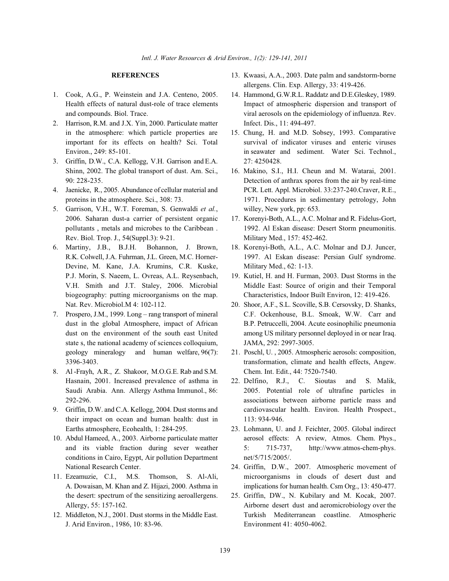- 1. Cook, A.G., P. Weinstein and J.A. Centeno, 2005. 14. Hammond, G.W.R.L. Raddatz and D.E.Gleskey, 1989.
- 2. Harrison, R.M. and J.X. Yin, 2000. Particulate matter Infect. Dis., 11: 494-497. in the atmosphere: which particle properties are 15. Chung, H. and M.D. Sobsey, 1993. Comparative
- 3. Griffin, D.W., C.A. Kellogg, V.H. Garrison and E.A. 27: 4250428. Shinn, 2002. The global transport of dust. Am. Sci., 16. Makino, S.I., H.I. Cheun and M. Watarai, 2001.
- 
- 5. Garrison, V.H., W.T. Foreman, S. Genwaldi *et al.*, willey, New york, pp: 653. 2006. Saharan dust-a carrier of persistent organic 17. Korenyi-Both, A.L., A.C. Molnar and R. Fidelus-Gort, Rev. Biol. Trop. J., 54(Suppl.3): 9-21. Military Med., 157: 452-462.
- Devine, M. Kane, J.A. Krumins, C.R. Kuske, Military Med., 62: 1-13. P.J. Morin, S. Naeem, L. Ovreas, A.L. Reysenbach, 19. Kutiel, H. and H. Furman, 2003. Dust Storms in the Nat. Rev. Microbiol.M 4: 102-112. 20. Shoor, A.F., S.L. Scoville, S.B. Cersovsky, D. Shanks,
- state s, the national academy of sciences colloquium, JAMA, 292: 2997-3005. geology mineralogy and human welfare, 96(7): 21. Poschl, U. , 2005. Atmospheric aerosols: composition,
- 8. Al -Frayh, A.R., Z. Shakoor, M.O.G.E. Rab and S.M. Chem. Int. Edit., 44: 7520-7540. Hasnain, 2001. Increased prevalence of asthma in 22. Delfino, R.J., C. Sioutas and S. Malik,
- their impact on ocean and human health: dust in 113: 934-946. Earths atmosphere, Ecohealth, 1: 284-295. 23. Lohmann, U. and J. Feichter, 2005. Global indirect
- conditions in Cairo, Egypt, Air pollution Department net/5/715/2005/. National Research Center. 24. Griffin, D.W., 2007. Atmospheric movement of
- the desert: spectrum of the sensitizing aeroallergens. 25. Griffin, DW., N. Kubilary and M. Kocak, 2007.
- J. Arid Environ., 1986, 10: 83-96. Environment 41: 4050-4062.
- **REFERENCES** 13. Kwaasi, A.A., 2003. Date palm and sandstorm-borne allergens. Clin. Exp. Allergy, 33: 419-426.
- Health effects of natural dust-role of trace elements Impact of atmospheric dispersion and transport of and compounds. Biol. Trace. viral aerosols on the epidemiology of influenza. Rev.
- important for its effects on health? Sci. Total survival of indicator viruses and enteric viruses Environ., 249: 85-101. in seawater and sediment. Water Sci. Technol.,
- 90: 228-235. Detection of anthrax spores from the air by real-time 4. Jaenicke, R., 2005. Abundance of cellular material and PCR. Lett. Appl. Microbiol. 33:237-240.Craver, R.E., proteins in the atmosphere. Sci., 308: 73. 1971. Procedures in sedimentary petrology, John
	- pollutants , metals and microbes to the Caribbean . 1992. Al Eskan disease: Desert Storm pneumonitis.
- 6. Martiny, J.B., B.J.H. Bohannon, J. Brown, 18. Korenyi-Both, A.L., A.C. Molnar and D.J. Juncer, R.K. Colwell, J.A. Fuhrman, J.L. Green, M.C. Horner- 1997. Al Eskan disease: Persian Gulf syndrome.
	- V.H. Smith and J.T. Staley, 2006. Microbial Middle East: Source of origin and their Temporal biogeography: putting microorganisms on the map. Characteristics, Indoor Built Environ, 12: 419-426.
- 7. Prospero, J.M., 1999. Long rang transport of mineral C.F. Ockenhouse, B.L. Smoak, W.W. Carr and dust in the global Atmosphere, impact of African B.P. Petruccelli, 2004. Acute eosinophilic pneumonia dust on the environment of the south east United among US military personnel deployed in or near Iraq.
	- 3396-3403. transformation, climate and health effects, Angew.
- Saudi Arabia. Ann. Allergy Asthma Immunol., 86: 2005. Potential role of ultrafine particles in 292-296. associations between airborne particle mass and 9. Griffin, D.W. and C.A. Kellogg, 2004. Dust storms and cardiovascular health. Environ. Health Prospect.,
- 10. Abdul Hameed, A., 2003. Airborne particulate matter aerosol effects: A review, Atmos. Chem. Phys., and its viable fraction during sever weather 5: 715-737, http://www.atmos-chem-phys.
- 11. Ezeamuzie, C.I., M.S. Thomson, S. Al-Ali, microorganisms in clouds of desert dust and A. Dowaisan, M. Khan and Z. Hijazi, 2000. Asthma in implications for human health. Csm Org., 13: 450-477.
- Allergy, 55: 157-162. Airborne desert dust and aeromicrobiology over the 12. Middleton, N.J., 2001. Dust storms in the Middle East. Turkish Mediterranean coastline. Atmospheric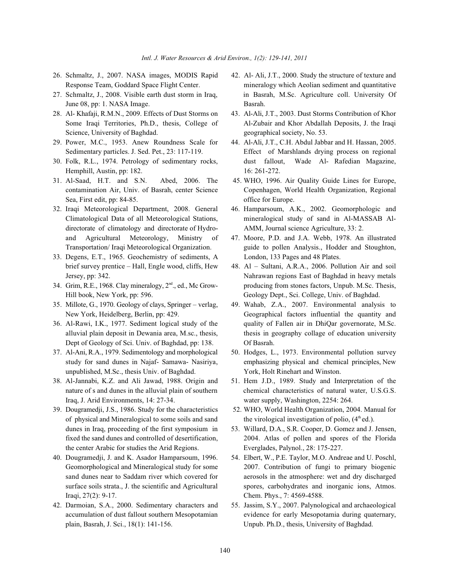- 
- June 08, pp: 1. NASA Image. Basrah.
- Science, University of Baghdad.  $geq$  geographical society, No. 53.
- 29. Power, M.C., 1953. Anew Roundness Scale for 44. Al-Ali, J.T., C.H. Abdul Jabbar and H. Hassan, 2005.
- Hemphill, Austin, pp: 182. 16: 261-272.
- 31. Al-Saad, H.T. and S.N. Abed, 2006. The 45. WHO, 1996. Air Quality Guide Lines for Europe, Sea, First edit, pp: 84-85. office for Europe.
- directorate of climatology and directorate of Hydro-<br>AMM, Journal science Agriculture, 33: 2. and Agricultural Meteorology, Ministry of 47. Moore, P.D. and J.A. Webb, 1978. An illustrated
- 33. Degens, E.T., 1965. Geochemistry of sediments, A London, 133 Pages and 48 Plates. brief survey prentice – Hall, Engle wood, cliffs, Hew 48. Al – Sultani, A.R.A., 2006. Pollution Air and soil
- Hill book, New York, pp: 596. Geology Dept., Sci. College, Univ. of Baghdad.
- 
- Dept of Geology of Sci. Univ. of Baghdad, pp: 138. Of Basrah.
- 37. Al-Ani, R.A., 1979. Sedimentology and morphological 50. Hodges, L., 1973. Environmental pollution survey unpublished, M.Sc., thesis Univ. of Baghdad. York, Holt Rinehart and Winston.
- Iraq, J. Arid Environments, 14: 27-34. water supply, Washington, 2254: 264.
- of physical and Mineralogical to some soils and sand dunes in Iraq, proceeding of the first symposium in 53. Willard, D.A., S.R. Cooper, D. Gomez and J. Jensen, the center Arabic for studies the Arid Regions. Everglades, Palynol., 28: 175-227.
- 40. Dougramedji, J. and K. Asador Hamparsoum, 1996. 54. Elbert, W., P.E. Taylor, M.O. Andreae and U. Poschl, Iraqi, 27(2): 9-17. Chem. Phys., 7: 4569-4588.
- plain, Basrah, J. Sci., 18(1): 141-156. Unpub. Ph.D., thesis, University of Baghdad.
- 26. Schmaltz, J., 2007. NASA images, MODIS Rapid 42. Al- Ali, J.T., 2000. Study the structure of texture and Response Team, Goddard Space Flight Center. mineralogy which Aeolian sediment and quantitative 27. Schmaltz, J., 2008. Visible earth dust storm in Iraq, in Basrah, M.Sc. Agriculture coll. University Of
- 28. Al- Khafaji, R.M.N., 2009. Effects of Dust Storms on 43. Al-Ali, J.T., 2003. Dust Storms Contribution of Khor Some Iraqi Territories, Ph.D., thesis, College of Al-Zubair and Khor Abdallah Deposits, J. the Iraqi
- Sedimentary particles. J. Sed. Pet., 23: 117-119. Effect of Marshlands drying process on regional 30. Folk, R.L., 1974. Petrology of sedimentary rocks, dust fallout, Wade Al- Rafedian Magazine,
	- contamination Air, Univ. of Basrah, center Science Copenhagen, World Health Organization, Regional
- 32. Iraqi Meteorological Department, 2008. General 46. Hamparsoum, A.K., 2002. Geomorphologic and Climatological Data of all Meteorological Stations, mineralogical study of sand in Al-MASSAB Al-
	- Transportation/ Iraqi Meteorological Organization. guide to pollen Analysis., Hodder and Stoughton,
- Jersey, pp: 342. Nahrawan regions East of Baghdad in heavy metals 34. Grim, R.E., 1968. Clay mineralogy,  $2<sup>nd</sup>$ , ed., Mc Grow- producing from stones factors, Unpub. M.Sc. Thesis,
- 35. Millote, G., 1970. Geology of clays, Springer verlag, 49. Wahab, Z.A., 2007. Environmental analysis to New York, Heidelberg, Berlin, pp: 429. Geographical factors influential the quantity and 36. Al-Rawi, I.K., 1977. Sediment logical study of the quality of Fallen air in DhiQar governorate, M.Sc. alluvial plain deposit in Dewania area, M.sc., thesis, thesis in geography collage of education university
	- study for sand dunes in Najaf- Samawa- Nasiriya, emphasizing physical and chemical principles, New
- 38. Al-Jannabi, K.Z. and Ali Jawad, 1988. Origin and 51. Hem J.D., 1989. Study and Interpretation of the nature of s and dunes in the alluvial plain of southern chemical characteristics of natural water, U.S.G.S.
- 39. Dougramedji, J.S., 1986. Study for the characteristics 52. WHO, World Health Organization, 2004. Manual for the virological investigation of polio,  $(4<sup>th</sup>$ ed.).
	- fixed the sand dunes and controlled of desertification, 2004. Atlas of pollen and spores of the Florida
	- Geomorphological and Mineralogical study for some 2007. Contribution of fungi to primary biogenic sand dunes near to Saddam river which covered for aerosols in the atmosphere: wet and dry discharged surface soils strata., J. the scientific and Agricultural spores, carbohydrates and inorganic ions, Atmos.
- 42. Darmoian, S.A., 2000. Sedimentary characters and 55. Jassim, S.Y., 2007. Palynological and archaeological accumulation of dust fallout southern Mesopotamian evidence for early Mesopotamia during quaternary,